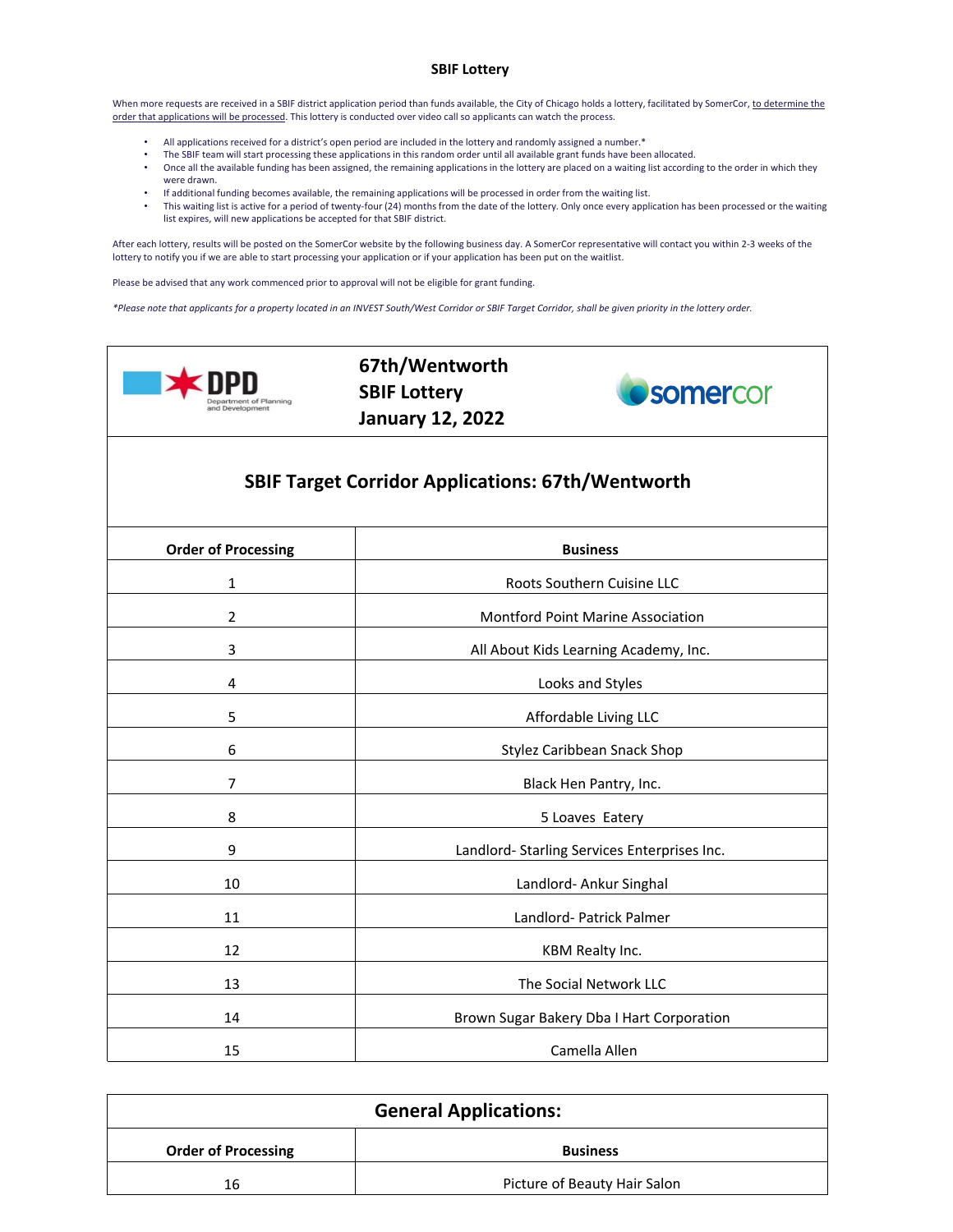## **SBIF Lottery**

When more requests are received in a SBIF district application period than funds available, the City of Chicago holds a lottery, facilitated by SomerCor, to determine the order that applications will be processed. This lottery is conducted over video call so applicants can watch the process.

- All applications received for a district's open period are included in the lottery and randomly assigned a number.\*
- The SBIF team will start processing these applications in this random order until all available grant funds have been allocated.
- Once all the available funding has been assigned, the remaining applications in the lottery are placed on a waiting list according to the order in which they were drawn.
- If additional funding becomes available, the remaining applications will be processed in order from the waiting list.
- This waiting list is active for a period of twenty-four (24) months from the date of the lottery. Only once every application has been processed or the waiting list expires, will new applications be accepted for that SBIF district.

After each lottery, results will be posted on the SomerCor website by the following business day. A SomerCor representative will contact you within 2-3 weeks of the lottery to notify you if we are able to start processing your application or if your application has been put on the waitlist.

Please be advised that any work commenced prior to approval will not be eligible for grant funding.

*\*Please note that applicants for a property located in an INVEST South/West Corridor or SBIF Target Corridor, shall be given priority in the lottery order.*



**67th/Wentworth SBIF Lottery January 12, 2022**



## **SBIF Target Corridor Applications: 67th/Wentworth**

| <b>Order of Processing</b> | <b>Business</b>                              |
|----------------------------|----------------------------------------------|
| 1                          | Roots Southern Cuisine LLC                   |
| $\overline{2}$             | Montford Point Marine Association            |
| 3                          | All About Kids Learning Academy, Inc.        |
| 4                          | Looks and Styles                             |
| 5                          | Affordable Living LLC                        |
| 6                          | Stylez Caribbean Snack Shop                  |
| 7                          | Black Hen Pantry, Inc.                       |
| 8                          | 5 Loaves Eatery                              |
| 9                          | Landlord- Starling Services Enterprises Inc. |
| 10                         | Landlord- Ankur Singhal                      |
| 11                         | Landlord- Patrick Palmer                     |
| 12                         | KBM Realty Inc.                              |
| 13                         | The Social Network LLC                       |
| 14                         | Brown Sugar Bakery Dba I Hart Corporation    |
| 15                         | Camella Allen                                |

| <b>General Applications:</b> |                              |
|------------------------------|------------------------------|
| <b>Order of Processing</b>   | <b>Business</b>              |
| 16                           | Picture of Beauty Hair Salon |